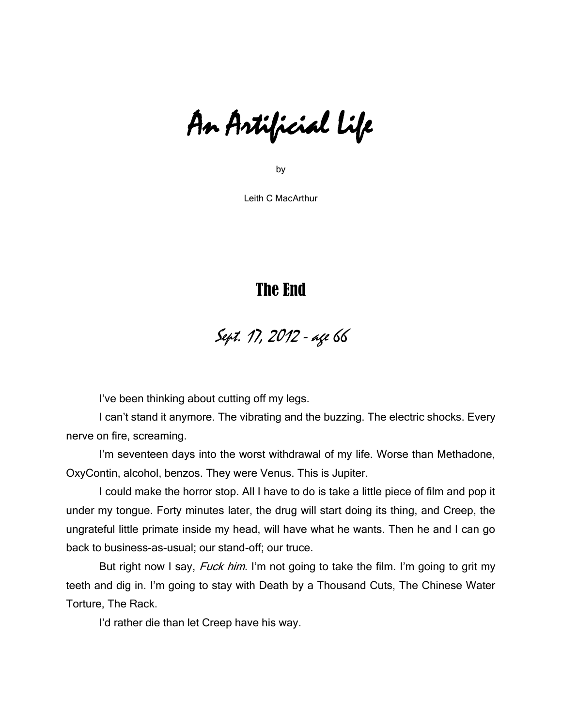An Artificial Life

by

Leith C MacArthur

#### The End

## Sept. 17, 2012 - age 66

I've been thinking about cutting off my legs.

I can't stand it anymore. The vibrating and the buzzing. The electric shocks. Every nerve on fire, screaming.

I'm seventeen days into the worst withdrawal of my life. Worse than Methadone, OxyContin, alcohol, benzos. They were Venus. This is Jupiter.

I could make the horror stop. All I have to do is take a little piece of film and pop it under my tongue. Forty minutes later, the drug will start doing its thing, and Creep, the ungrateful little primate inside my head, will have what he wants. Then he and I can go back to business-as-usual; our stand-off; our truce.

But right now I say, *Fuck him*. I'm not going to take the film. I'm going to grit my teeth and dig in. I'm going to stay with Death by a Thousand Cuts, The Chinese Water Torture, The Rack.

I'd rather die than let Creep have his way.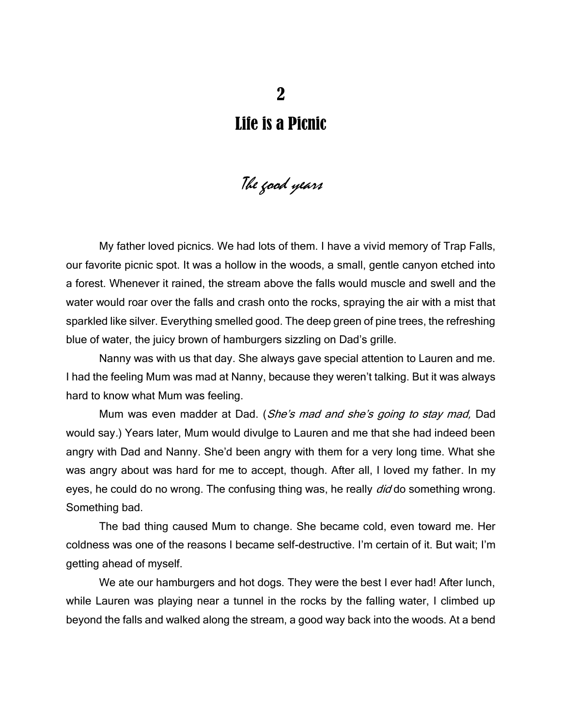### Life is a Picnic

## The good years

My father loved picnics. We had lots of them. I have a vivid memory of Trap Falls, our favorite picnic spot. It was a hollow in the woods, a small, gentle canyon etched into a forest. Whenever it rained, the stream above the falls would muscle and swell and the water would roar over the falls and crash onto the rocks, spraying the air with a mist that sparkled like silver. Everything smelled good. The deep green of pine trees, the refreshing blue of water, the juicy brown of hamburgers sizzling on Dad's grille.

Nanny was with us that day. She always gave special attention to Lauren and me. I had the feeling Mum was mad at Nanny, because they weren't talking. But it was always hard to know what Mum was feeling.

Mum was even madder at Dad. (She's mad and she's going to stay mad, Dad would say.) Years later, Mum would divulge to Lauren and me that she had indeed been angry with Dad and Nanny. She'd been angry with them for a very long time. What she was angry about was hard for me to accept, though. After all, I loved my father. In my eyes, he could do no wrong. The confusing thing was, he really *did* do something wrong. Something bad.

The bad thing caused Mum to change. She became cold, even toward me. Her coldness was one of the reasons I became self-destructive. I'm certain of it. But wait; I'm getting ahead of myself.

We ate our hamburgers and hot dogs. They were the best I ever had! After lunch, while Lauren was playing near a tunnel in the rocks by the falling water, I climbed up beyond the falls and walked along the stream, a good way back into the woods. At a bend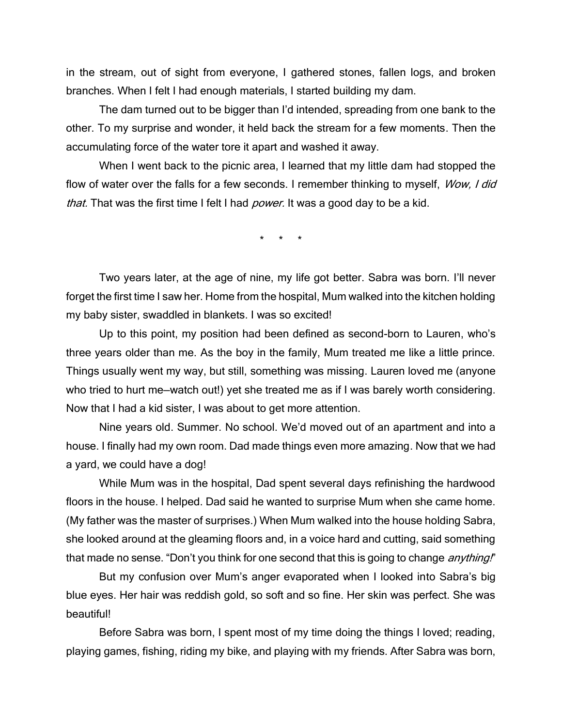in the stream, out of sight from everyone, I gathered stones, fallen logs, and broken branches. When I felt I had enough materials, I started building my dam.

The dam turned out to be bigger than I'd intended, spreading from one bank to the other. To my surprise and wonder, it held back the stream for a few moments. Then the accumulating force of the water tore it apart and washed it away.

When I went back to the picnic area, I learned that my little dam had stopped the flow of water over the falls for a few seconds. I remember thinking to myself, Wow, I did that. That was the first time I felt I had *power*. It was a good day to be a kid.

\* \* \*

Two years later, at the age of nine, my life got better. Sabra was born. I'll never forget the first time I saw her. Home from the hospital, Mum walked into the kitchen holding my baby sister, swaddled in blankets. I was so excited!

Up to this point, my position had been defined as second-born to Lauren, who's three years older than me. As the boy in the family, Mum treated me like a little prince. Things usually went my way, but still, something was missing. Lauren loved me (anyone who tried to hurt me—watch out!) yet she treated me as if I was barely worth considering. Now that I had a kid sister, I was about to get more attention.

Nine years old. Summer. No school. We'd moved out of an apartment and into a house. I finally had my own room. Dad made things even more amazing. Now that we had a yard, we could have a dog!

While Mum was in the hospital, Dad spent several days refinishing the hardwood floors in the house. I helped. Dad said he wanted to surprise Mum when she came home. (My father was the master of surprises.) When Mum walked into the house holding Sabra, she looked around at the gleaming floors and, in a voice hard and cutting, said something that made no sense. "Don't you think for one second that this is going to change *anything!*"

But my confusion over Mum's anger evaporated when I looked into Sabra's big blue eyes. Her hair was reddish gold, so soft and so fine. Her skin was perfect. She was beautiful!

Before Sabra was born, I spent most of my time doing the things I loved; reading, playing games, fishing, riding my bike, and playing with my friends. After Sabra was born,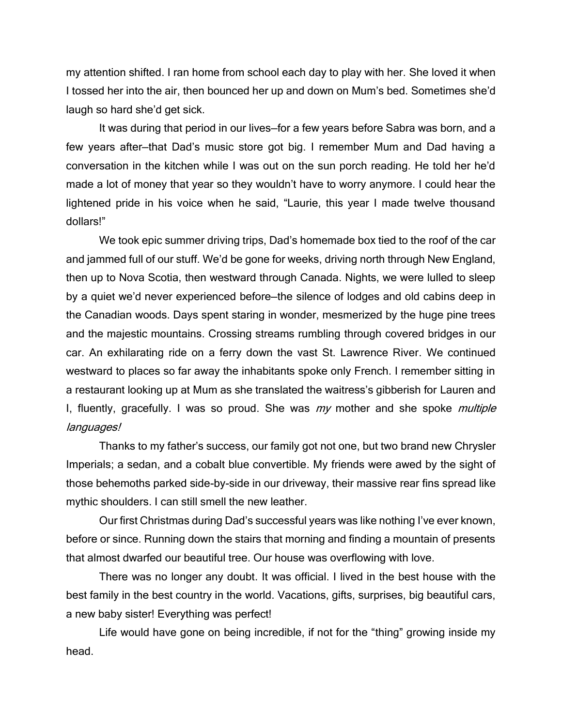my attention shifted. I ran home from school each day to play with her. She loved it when I tossed her into the air, then bounced her up and down on Mum's bed. Sometimes she'd laugh so hard she'd get sick.

It was during that period in our lives—for a few years before Sabra was born, and a few years after—that Dad's music store got big. I remember Mum and Dad having a conversation in the kitchen while I was out on the sun porch reading. He told her he'd made a lot of money that year so they wouldn't have to worry anymore. I could hear the lightened pride in his voice when he said, "Laurie, this year I made twelve thousand dollars!"

We took epic summer driving trips, Dad's homemade box tied to the roof of the car and jammed full of our stuff. We'd be gone for weeks, driving north through New England, then up to Nova Scotia, then westward through Canada. Nights, we were lulled to sleep by a quiet we'd never experienced before—the silence of lodges and old cabins deep in the Canadian woods. Days spent staring in wonder, mesmerized by the huge pine trees and the majestic mountains. Crossing streams rumbling through covered bridges in our car. An exhilarating ride on a ferry down the vast St. Lawrence River. We continued westward to places so far away the inhabitants spoke only French. I remember sitting in a restaurant looking up at Mum as she translated the waitress's gibberish for Lauren and I, fluently, gracefully. I was so proud. She was  $m\gamma$  mother and she spoke *multiple* languages!

Thanks to my father's success, our family got not one, but two brand new Chrysler Imperials; a sedan, and a cobalt blue convertible. My friends were awed by the sight of those behemoths parked side-by-side in our driveway, their massive rear fins spread like mythic shoulders. I can still smell the new leather.

Our first Christmas during Dad's successful years was like nothing I've ever known, before or since. Running down the stairs that morning and finding a mountain of presents that almost dwarfed our beautiful tree. Our house was overflowing with love.

There was no longer any doubt. It was official. I lived in the best house with the best family in the best country in the world. Vacations, gifts, surprises, big beautiful cars, a new baby sister! Everything was perfect!

Life would have gone on being incredible, if not for the "thing" growing inside my head.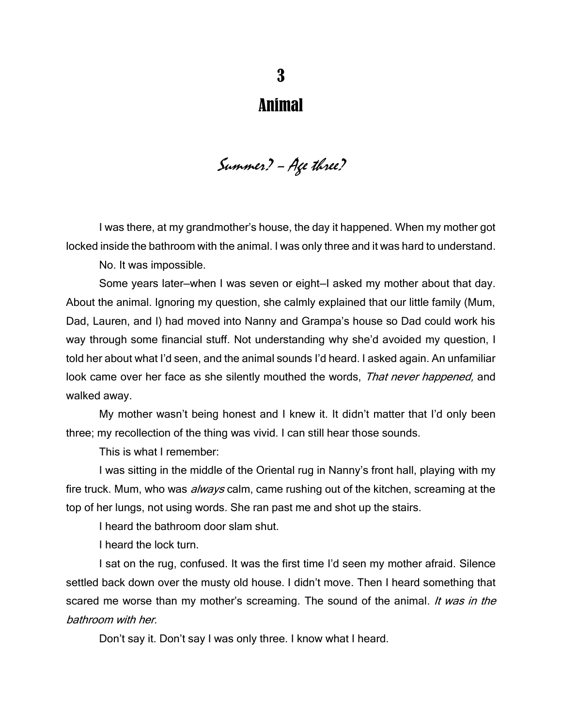# Animal

Summer? – Age three?

I was there, at my grandmother's house, the day it happened. When my mother got locked inside the bathroom with the animal. I was only three and it was hard to understand.

No. It was impossible.

Some years later—when I was seven or eight—I asked my mother about that day. About the animal. Ignoring my question, she calmly explained that our little family (Mum, Dad, Lauren, and I) had moved into Nanny and Grampa's house so Dad could work his way through some financial stuff. Not understanding why she'd avoided my question, I told her about what I'd seen, and the animal sounds I'd heard. I asked again. An unfamiliar look came over her face as she silently mouthed the words, That never happened, and walked away.

My mother wasn't being honest and I knew it. It didn't matter that I'd only been three; my recollection of the thing was vivid. I can still hear those sounds.

This is what I remember:

I was sitting in the middle of the Oriental rug in Nanny's front hall, playing with my fire truck. Mum, who was *always* calm, came rushing out of the kitchen, screaming at the top of her lungs, not using words. She ran past me and shot up the stairs.

I heard the bathroom door slam shut.

I heard the lock turn.

I sat on the rug, confused. It was the first time I'd seen my mother afraid. Silence settled back down over the musty old house. I didn't move. Then I heard something that scared me worse than my mother's screaming. The sound of the animal. It was in the bathroom with her.

Don't say it. Don't say I was only three. I know what I heard.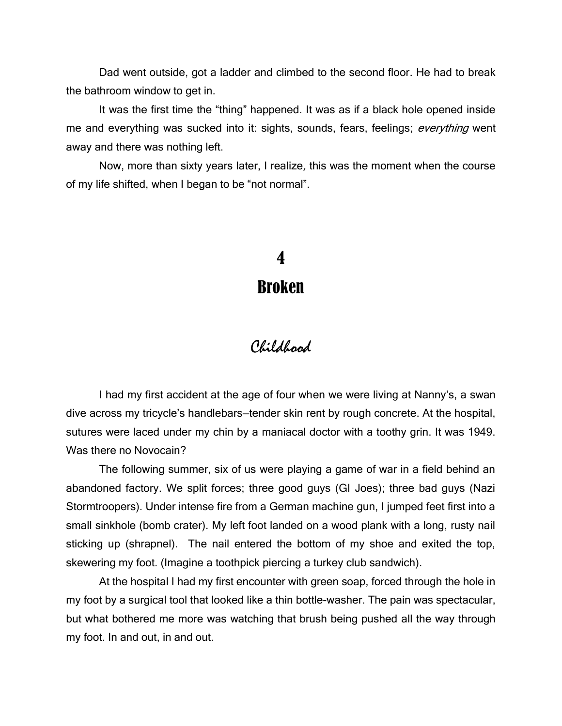Dad went outside, got a ladder and climbed to the second floor. He had to break the bathroom window to get in.

It was the first time the "thing" happened. It was as if a black hole opened inside me and everything was sucked into it: sights, sounds, fears, feelings; everything went away and there was nothing left.

Now, more than sixty years later, I realize, this was the moment when the course of my life shifted, when I began to be "not normal".

# 4 Broken

#### Childhood

I had my first accident at the age of four when we were living at Nanny's, a swan dive across my tricycle's handlebars—tender skin rent by rough concrete. At the hospital, sutures were laced under my chin by a maniacal doctor with a toothy grin. It was 1949. Was there no Novocain?

The following summer, six of us were playing a game of war in a field behind an abandoned factory. We split forces; three good guys (GI Joes); three bad guys (Nazi Stormtroopers). Under intense fire from a German machine gun, I jumped feet first into a small sinkhole (bomb crater). My left foot landed on a wood plank with a long, rusty nail sticking up (shrapnel). The nail entered the bottom of my shoe and exited the top, skewering my foot. (Imagine a toothpick piercing a turkey club sandwich).

At the hospital I had my first encounter with green soap, forced through the hole in my foot by a surgical tool that looked like a thin bottle-washer. The pain was spectacular, but what bothered me more was watching that brush being pushed all the way through my foot. In and out, in and out.